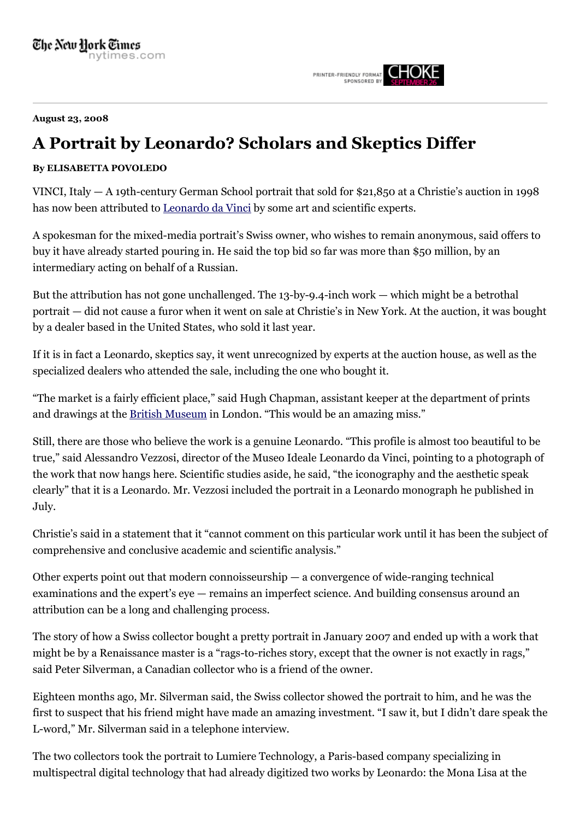PRINTER-FRIENDLY FORMAT CHOKE

**August 23, 2008**

## **A Portrait by Leonardo? Scholars and Skeptics Differ**

## **By ELISABETTA POVOLEDO**

VINCI, Italy — A 19th-century German School portrait that sold for \$21,850 at a Christie's auction in 1998 has now been attributed to [Leonardo da Vinci](http://topics.nytimes.com/top/reference/timestopics/people/d/leonardo_da_vinci/index.html?inline=nyt-per) by some art and scientific experts.

A spokesman for the mixed-media portrait's Swiss owner, who wishes to remain anonymous, said offers to buy it have already started pouring in. He said the top bid so far was more than \$50 million, by an intermediary acting on behalf of a Russian.

But the attribution has not gone unchallenged. The 13-by-9.4-inch work — which might be a betrothal portrait — did not cause a furor when it went on sale at Christie's in New York. At the auction, it was bought by a dealer based in the United States, who sold it last year.

If it is in fact a Leonardo, skeptics say, it went unrecognized by experts at the auction house, as well as the specialized dealers who attended the sale, including the one who bought it.

"The market is a fairly efficient place," said Hugh Chapman, assistant keeper at the department of prints and drawings at the [British Museum](http://topics.nytimes.com/top/reference/timestopics/organizations/b/british_museum/index.html?inline=nyt-org) in London. "This would be an amazing miss."

Still, there are those who believe the work is a genuine Leonardo. "This profile is almost too beautiful to be true," said Alessandro Vezzosi, director of the Museo Ideale Leonardo da Vinci, pointing to a photograph of the work that now hangs here. Scientific studies aside, he said, "the iconography and the aesthetic speak clearly" that it is a Leonardo. Mr. Vezzosi included the portrait in a Leonardo monograph he published in July.

Christie's said in a statement that it "cannot comment on this particular work until it has been the subject of comprehensive and conclusive academic and scientific analysis."

Other experts point out that modern connoisseurship — a convergence of wide-ranging technical examinations and the expert's eye — remains an imperfect science. And building consensus around an attribution can be a long and challenging process.

The story of how a Swiss collector bought a pretty portrait in January 2007 and ended up with a work that might be by a Renaissance master is a "rags-to-riches story, except that the owner is not exactly in rags," said Peter Silverman, a Canadian collector who is a friend of the owner.

Eighteen months ago, Mr. Silverman said, the Swiss collector showed the portrait to him, and he was the first to suspect that his friend might have made an amazing investment. "I saw it, but I didn't dare speak the L-word," Mr. Silverman said in a telephone interview.

The two collectors took the portrait to Lumiere Technology, a Paris-based company specializing in multispectral digital technology that had already digitized two works by Leonardo: the Mona Lisa at the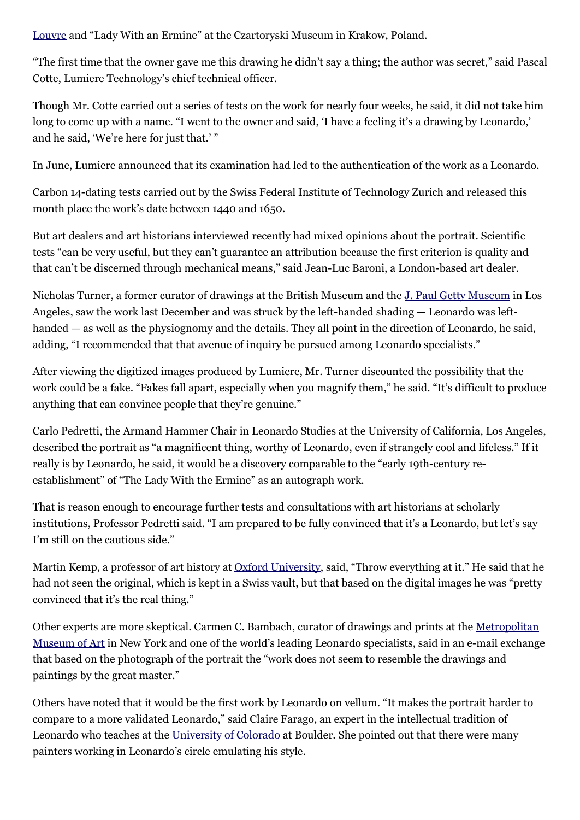[Louvre](http://topics.nytimes.com/top/reference/timestopics/organizations/l/louvre/index.html?inline=nyt-org) and "Lady With an Ermine" at the Czartoryski Museum in Krakow, Poland.

"The first time that the owner gave me this drawing he didn't say a thing; the author was secret," said Pascal Cotte, Lumiere Technology's chief technical officer.

Though Mr. Cotte carried out a series of tests on the work for nearly four weeks, he said, it did not take him long to come up with a name. "I went to the owner and said, 'I have a feeling it's a drawing by Leonardo,' and he said, 'We're here for just that.' "

In June, Lumiere announced that its examination had led to the authentication of the work as a Leonardo.

Carbon 14-dating tests carried out by the Swiss Federal Institute of Technology Zurich and released this month place the work's date between 1440 and 1650.

But art dealers and art historians interviewed recently had mixed opinions about the portrait. Scientific tests "can be very useful, but they can't guarantee an attribution because the first criterion is quality and that can't be discerned through mechanical means," said Jean-Luc Baroni, a London-based art dealer.

Nicholas Turner, a former curator of drawings at the British Museum and the [J. Paul Getty Museum](http://topics.nytimes.com/top/reference/timestopics/organizations/g/getty_j_paul_museum/index.html?inline=nyt-org) in Los Angeles, saw the work last December and was struck by the left-handed shading — Leonardo was lefthanded — as well as the physiognomy and the details. They all point in the direction of Leonardo, he said, adding, "I recommended that that avenue of inquiry be pursued among Leonardo specialists."

After viewing the digitized images produced by Lumiere, Mr. Turner discounted the possibility that the work could be a fake. "Fakes fall apart, especially when you magnify them," he said. "It's difficult to produce anything that can convince people that they're genuine."

Carlo Pedretti, the Armand Hammer Chair in Leonardo Studies at the University of California, Los Angeles, described the portrait as "a magnificent thing, worthy of Leonardo, even if strangely cool and lifeless." If it really is by Leonardo, he said, it would be a discovery comparable to the "early 19th-century reestablishment" of "The Lady With the Ermine" as an autograph work.

That is reason enough to encourage further tests and consultations with art historians at scholarly institutions, Professor Pedretti said. "I am prepared to be fully convinced that it's a Leonardo, but let's say I'm still on the cautious side."

Martin Kemp, a professor of art history at [Oxford University](http://topics.nytimes.com/top/reference/timestopics/organizations/o/oxford_university/index.html?inline=nyt-org), said, "Throw everything at it." He said that he had not seen the original, which is kept in a Swiss vault, but that based on the digital images he was "pretty convinced that it's the real thing."

[Other experts are more skeptical. Carmen C. Bambach, curator of drawings and prints at the Metropolitan](http://topics.nytimes.com/top/reference/timestopics/organizations/m/metropolitan_museum_of_art/index.html?inline=nyt-org) Museum of Art in New York and one of the world's leading Leonardo specialists, said in an e-mail exchange that based on the photograph of the portrait the "work does not seem to resemble the drawings and paintings by the great master."

Others have noted that it would be the first work by Leonardo on vellum. "It makes the portrait harder to compare to a more validated Leonardo," said Claire Farago, an expert in the intellectual tradition of Leonardo who teaches at the [University of Colorado](http://topics.nytimes.com/top/reference/timestopics/organizations/u/university_of_colorado/index.html?inline=nyt-org) at Boulder. She pointed out that there were many painters working in Leonardo's circle emulating his style.